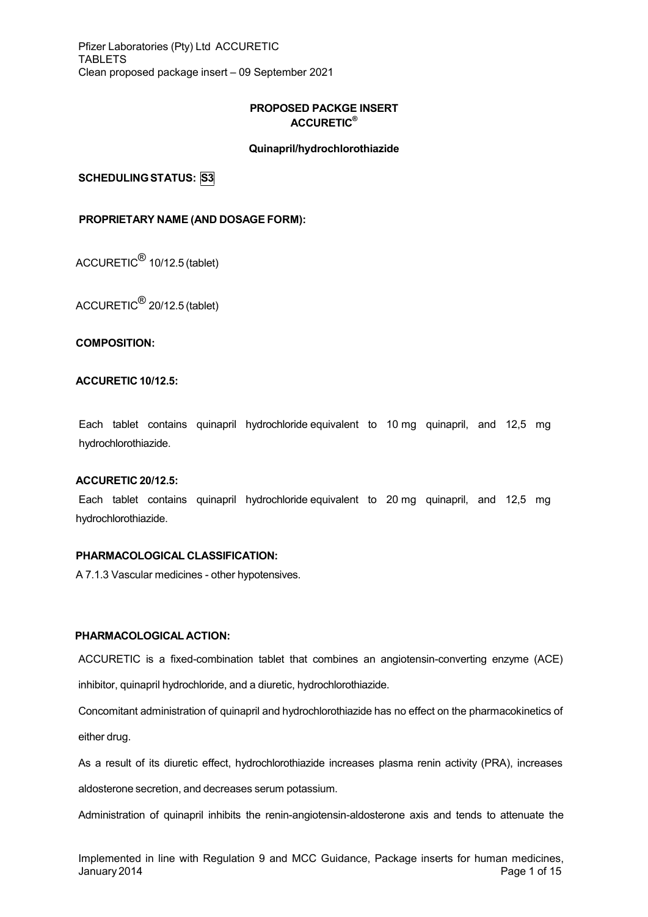Pfizer Laboratories (Pty) Ltd ACCURETIC TABLETS Clean proposed package insert – 09 September 2021

# **PROPOSED PACKGE INSERT ACCURETIC®**

## **Quinapril/hydrochlorothiazide**

**SCHEDULINGSTATUS: S3**

## **PROPRIETARY NAME (AND DOSAGE FORM):**

ACCURETIC® 10/12.5 (tablet)

ACCURETIC® 20/12.5 (tablet)

**COMPOSITION:**

## **ACCURETIC 10/12.5:**

Each tablet contains quinapril hydrochloride equivalent to 10 mg quinapril, and 12,5 mg hydrochlorothiazide.

#### **ACCURETIC 20/12.5:**

Each tablet contains quinapril hydrochloride equivalent to 20 mg quinapril, and 12,5 mg hydrochlorothiazide.

### **PHARMACOLOGICAL CLASSIFICATION:**

A 7.1.3 Vascular medicines - other hypotensives.

## **PHARMACOLOGICAL ACTION:**

ACCURETIC is a fixed-combination tablet that combines an angiotensin-converting enzyme (ACE) inhibitor, quinapril hydrochloride, and a diuretic, hydrochlorothiazide.

Concomitant administration of quinapril and hydrochlorothiazide has no effect on the pharmacokinetics of either drug.

As a result of its diuretic effect, hydrochlorothiazide increases plasma renin activity (PRA), increases aldosterone secretion, and decreases serum potassium.

Administration of quinapril inhibits the renin-angiotensin-aldosterone axis and tends to attenuate the

Implemented in line with Regulation 9 and MCC Guidance, Package inserts for human medicines, January 2014 Page 1 of 15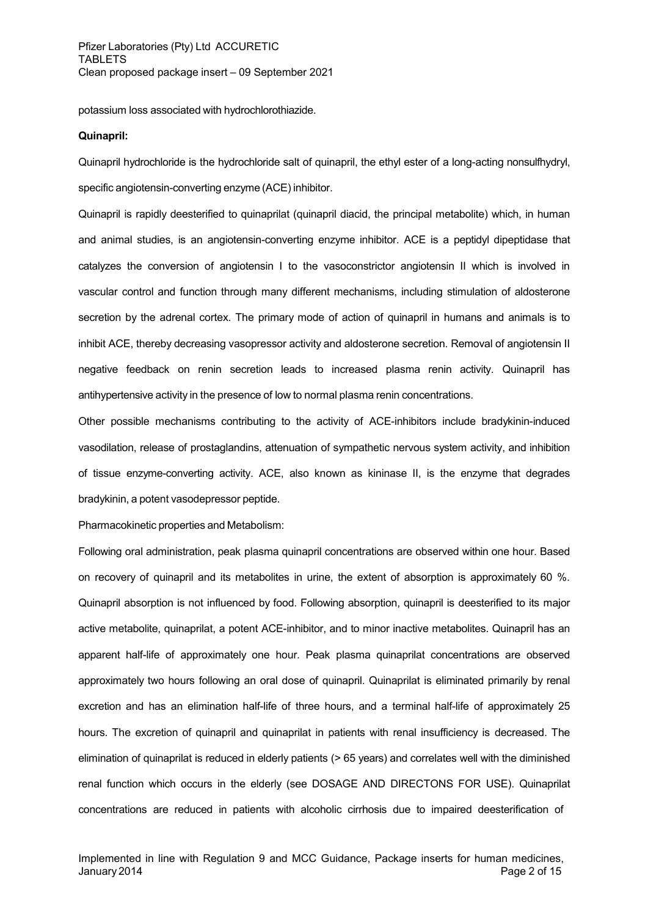potassium loss associated with hydrochlorothiazide.

### **Quinapril:**

Quinapril hydrochloride is the hydrochloride salt of quinapril, the ethyl ester of a long-acting nonsulfhydryl, specific angiotensin-converting enzyme (ACE) inhibitor.

Quinapril is rapidly deesterified to quinaprilat (quinapril diacid, the principal metabolite) which, in human and animal studies, is an angiotensin-converting enzyme inhibitor. ACE is a peptidyl dipeptidase that catalyzes the conversion of angiotensin I to the vasoconstrictor angiotensin II which is involved in vascular control and function through many different mechanisms, including stimulation of aldosterone secretion by the adrenal cortex. The primary mode of action of quinapril in humans and animals is to inhibit ACE, thereby decreasing vasopressor activity and aldosterone secretion. Removal of angiotensin II negative feedback on renin secretion leads to increased plasma renin activity. Quinapril has antihypertensive activity in the presence of low to normal plasma renin concentrations.

Other possible mechanisms contributing to the activity of ACE-inhibitors include bradykinin-induced vasodilation, release of prostaglandins, attenuation of sympathetic nervous system activity, and inhibition of tissue enzyme-converting activity. ACE, also known as kininase II, is the enzyme that degrades bradykinin, a potent vasodepressor peptide.

Pharmacokinetic properties and Metabolism:

Following oral administration, peak plasma quinapril concentrations are observed within one hour. Based on recovery of quinapril and its metabolites in urine, the extent of absorption is approximately 60 %. Quinapril absorption is not influenced by food. Following absorption, quinapril is deesterified to its major active metabolite, quinaprilat, a potent ACE-inhibitor, and to minor inactive metabolites. Quinapril has an apparent half-life of approximately one hour. Peak plasma quinaprilat concentrations are observed approximately two hours following an oral dose of quinapril. Quinaprilat is eliminated primarily by renal excretion and has an elimination half-life of three hours, and a terminal half-life of approximately 25 hours. The excretion of quinapril and quinaprilat in patients with renal insufficiency is decreased. The elimination of quinaprilat is reduced in elderly patients (> 65 years) and correlates well with the diminished renal function which occurs in the elderly (see DOSAGE AND DIRECTONS FOR USE). Quinaprilat concentrations are reduced in patients with alcoholic cirrhosis due to impaired deesterification of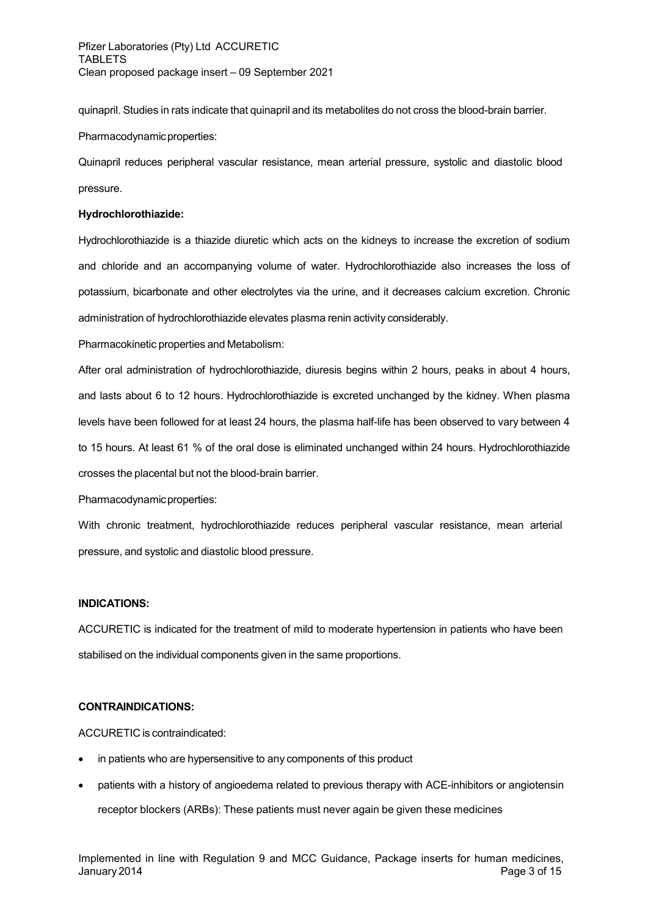quinapril. Studies in rats indicate that quinapril and its metabolites do not cross the blood-brain barrier.

## Pharmacodynamic properties:

Quinapril reduces peripheral vascular resistance, mean arterial pressure, systolic and diastolic blood pressure.

## **Hydrochlorothiazide:**

Hydrochlorothiazide is a thiazide diuretic which acts on the kidneys to increase the excretion of sodium and chloride and an accompanying volume of water. Hydrochlorothiazide also increases the loss of potassium, bicarbonate and other electrolytes via the urine, and it decreases calcium excretion. Chronic administration of hydrochlorothiazide elevates plasma renin activity considerably.

Pharmacokinetic properties and Metabolism:

After oral administration of hydrochlorothiazide, diuresis begins within 2 hours, peaks in about 4 hours, and lasts about 6 to 12 hours. Hydrochlorothiazide is excreted unchanged by the kidney. When plasma levels have been followed for at least 24 hours, the plasma half-life has been observed to vary between 4 to 15 hours. At least 61 % of the oral dose is eliminated unchanged within 24 hours. Hydrochlorothiazide crosses the placental but not the blood-brain barrier.

Pharmacodynamicproperties:

With chronic treatment, hydrochlorothiazide reduces peripheral vascular resistance, mean arterial pressure, and systolic and diastolic blood pressure.

## **INDICATIONS:**

ACCURETIC is indicated for the treatment of mild to moderate hypertension in patients who have been stabilised on the individual components given in the same proportions.

## **CONTRAINDICATIONS:**

ACCURETIC is contraindicated:

- in patients who are hypersensitive to any components of this product
- patients with a history of angioedema related to previous therapy with ACE-inhibitors or angiotensin receptor blockers (ARBs): These patients must never again be given these medicines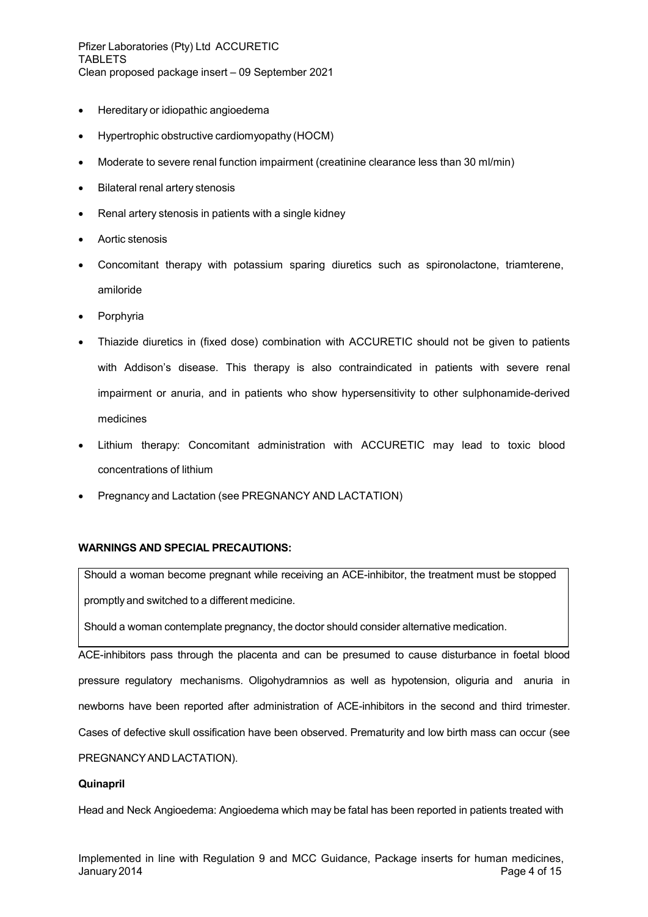Pfizer Laboratories (Pty) Ltd ACCURETIC TABLETS Clean proposed package insert – 09 September 2021

- Hereditary or idiopathic angioedema
- Hypertrophic obstructive cardiomyopathy (HOCM)
- Moderate to severe renal function impairment (creatinine clearance less than 30 ml/min)
- Bilateral renal artery stenosis
- Renal artery stenosis in patients with a single kidney
- Aortic stenosis
- Concomitant therapy with potassium sparing diuretics such as spironolactone, triamterene, amiloride
- Porphyria
- Thiazide diuretics in (fixed dose) combination with ACCURETIC should not be given to patients with Addison's disease. This therapy is also contraindicated in patients with severe renal impairment or anuria, and in patients who show hypersensitivity to other sulphonamide-derived medicines
- Lithium therapy: Concomitant administration with ACCURETIC may lead to toxic blood concentrations of lithium
- Pregnancy and Lactation (see PREGNANCY AND LACTATION)

## **WARNINGS AND SPECIAL PRECAUTIONS:**

Should a woman become pregnant while receiving an ACE-inhibitor, the treatment must be stopped promptly and switched to a different medicine.

Should a woman contemplate pregnancy, the doctor should consider alternative medication.

ACE-inhibitors pass through the placenta and can be presumed to cause disturbance in foetal blood pressure regulatory mechanisms. Oligohydramnios as well as hypotension, oliguria and anuria in newborns have been reported after administration of ACE-inhibitors in the second and third trimester. Cases of defective skull ossification have been observed. Prematurity and low birth mass can occur (see PREGNANCY AND LACTATION).

## **Quinapril**

Head and Neck Angioedema: Angioedema which may be fatal has been reported in patients treated with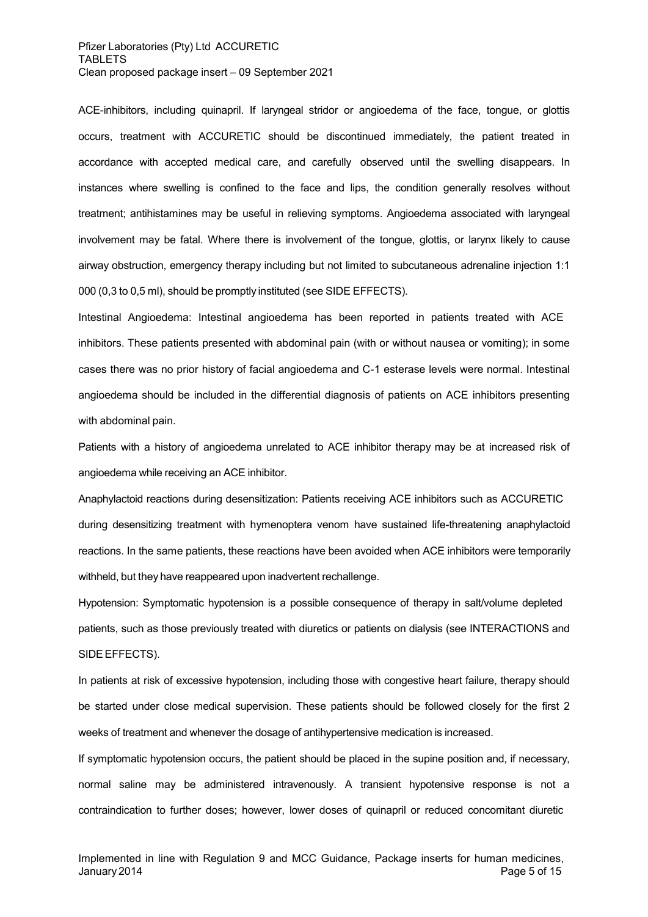ACE-inhibitors, including quinapril. If laryngeal stridor or angioedema of the face, tongue, or glottis occurs, treatment with ACCURETIC should be discontinued immediately, the patient treated in accordance with accepted medical care, and carefully observed until the swelling disappears. In instances where swelling is confined to the face and lips, the condition generally resolves without treatment; antihistamines may be useful in relieving symptoms. Angioedema associated with laryngeal involvement may be fatal. Where there is involvement of the tongue, glottis, or larynx likely to cause airway obstruction, emergency therapy including but not limited to subcutaneous adrenaline injection 1:1 000 (0,3 to 0,5 ml), should be promptly instituted (see SIDE EFFECTS).

Intestinal Angioedema: Intestinal angioedema has been reported in patients treated with ACE inhibitors. These patients presented with abdominal pain (with or without nausea or vomiting); in some cases there was no prior history of facial angioedema and C-1 esterase levels were normal. Intestinal angioedema should be included in the differential diagnosis of patients on ACE inhibitors presenting with abdominal pain.

Patients with a history of angioedema unrelated to ACE inhibitor therapy may be at increased risk of angioedema while receiving an ACE inhibitor.

Anaphylactoid reactions during desensitization: Patients receiving ACE inhibitors such as ACCURETIC during desensitizing treatment with hymenoptera venom have sustained life-threatening anaphylactoid reactions. In the same patients, these reactions have been avoided when ACE inhibitors were temporarily withheld, but they have reappeared upon inadvertent rechallenge.

Hypotension: Symptomatic hypotension is a possible consequence of therapy in salt/volume depleted patients, such as those previously treated with diuretics or patients on dialysis (see INTERACTIONS and SIDE EFFECTS).

In patients at risk of excessive hypotension, including those with congestive heart failure, therapy should be started under close medical supervision. These patients should be followed closely for the first 2 weeks of treatment and whenever the dosage of antihypertensive medication is increased.

If symptomatic hypotension occurs, the patient should be placed in the supine position and, if necessary, normal saline may be administered intravenously. A transient hypotensive response is not a contraindication to further doses; however, lower doses of quinapril or reduced concomitant diuretic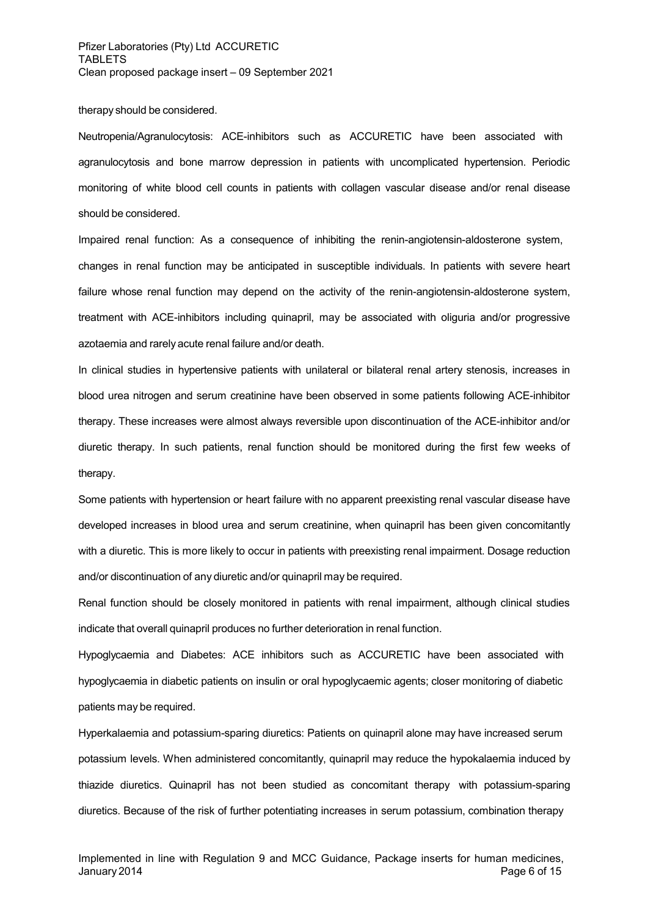#### therapy should be considered.

Neutropenia/Agranulocytosis: ACE-inhibitors such as ACCURETIC have been associated with agranulocytosis and bone marrow depression in patients with uncomplicated hypertension. Periodic monitoring of white blood cell counts in patients with collagen vascular disease and/or renal disease should be considered.

Impaired renal function: As a consequence of inhibiting the renin-angiotensin-aldosterone system, changes in renal function may be anticipated in susceptible individuals. In patients with severe heart failure whose renal function may depend on the activity of the renin-angiotensin-aldosterone system, treatment with ACE-inhibitors including quinapril, may be associated with oliguria and/or progressive azotaemia and rarely acute renal failure and/or death.

In clinical studies in hypertensive patients with unilateral or bilateral renal artery stenosis, increases in blood urea nitrogen and serum creatinine have been observed in some patients following ACE-inhibitor therapy. These increases were almost always reversible upon discontinuation of the ACE-inhibitor and/or diuretic therapy. In such patients, renal function should be monitored during the first few weeks of therapy.

Some patients with hypertension or heart failure with no apparent preexisting renal vascular disease have developed increases in blood urea and serum creatinine, when quinapril has been given concomitantly with a diuretic. This is more likely to occur in patients with preexisting renal impairment. Dosage reduction and/or discontinuation of any diuretic and/or quinapril may be required.

Renal function should be closely monitored in patients with renal impairment, although clinical studies indicate that overall quinapril produces no further deterioration in renal function.

Hypoglycaemia and Diabetes: ACE inhibitors such as ACCURETIC have been associated with hypoglycaemia in diabetic patients on insulin or oral hypoglycaemic agents; closer monitoring of diabetic patients may be required.

Hyperkalaemia and potassium-sparing diuretics: Patients on quinapril alone may have increased serum potassium levels. When administered concomitantly, quinapril may reduce the hypokalaemia induced by thiazide diuretics. Quinapril has not been studied as concomitant therapy with potassium-sparing diuretics. Because of the risk of further potentiating increases in serum potassium, combination therapy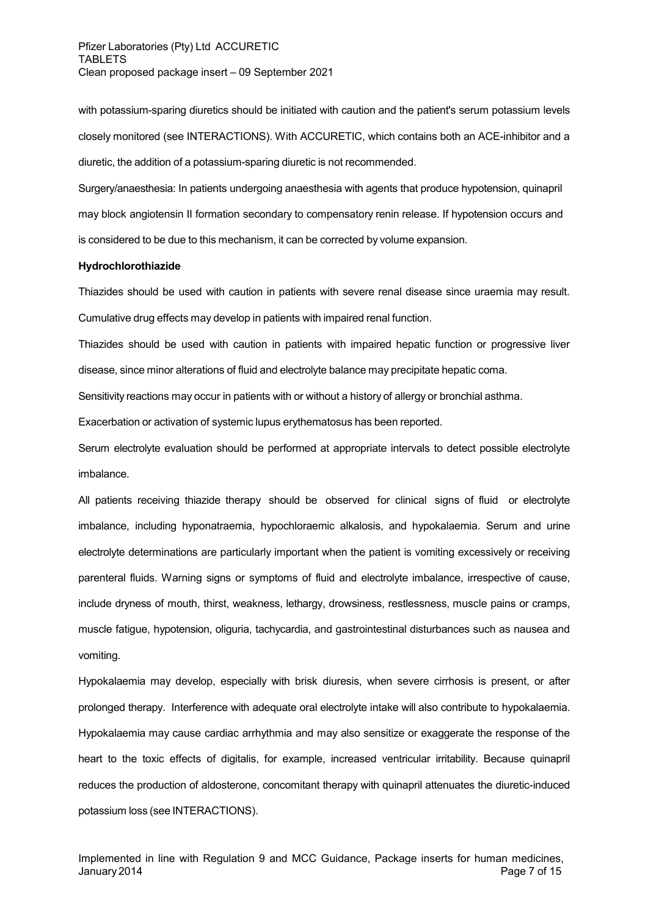with potassium-sparing diuretics should be initiated with caution and the patient's serum potassium levels closely monitored (see INTERACTIONS). With ACCURETIC, which contains both an ACE-inhibitor and a diuretic, the addition of a potassium-sparing diuretic is not recommended.

Surgery/anaesthesia: In patients undergoing anaesthesia with agents that produce hypotension, quinapril may block angiotensin II formation secondary to compensatory renin release. If hypotension occurs and is considered to be due to this mechanism, it can be corrected by volume expansion.

#### **Hydrochlorothiazide**

Thiazides should be used with caution in patients with severe renal disease since uraemia may result. Cumulative drug effects may develop in patients with impaired renal function.

Thiazides should be used with caution in patients with impaired hepatic function or progressive liver disease, since minor alterations of fluid and electrolyte balance may precipitate hepatic coma.

Sensitivity reactions may occur in patients with or without a history of allergy or bronchial asthma.

Exacerbation or activation of systemic lupus erythematosus has been reported.

Serum electrolyte evaluation should be performed at appropriate intervals to detect possible electrolyte imbalance.

All patients receiving thiazide therapy should be observed for clinical signs of fluid or electrolyte imbalance, including hyponatraemia, hypochloraemic alkalosis, and hypokalaemia. Serum and urine electrolyte determinations are particularly important when the patient is vomiting excessively or receiving parenteral fluids. Warning signs or symptoms of fluid and electrolyte imbalance, irrespective of cause, include dryness of mouth, thirst, weakness, lethargy, drowsiness, restlessness, muscle pains or cramps, muscle fatigue, hypotension, oliguria, tachycardia, and gastrointestinal disturbances such as nausea and vomiting.

Hypokalaemia may develop, especially with brisk diuresis, when severe cirrhosis is present, or after prolonged therapy. Interference with adequate oral electrolyte intake will also contribute to hypokalaemia. Hypokalaemia may cause cardiac arrhythmia and may also sensitize or exaggerate the response of the heart to the toxic effects of digitalis, for example, increased ventricular irritability. Because quinapril reduces the production of aldosterone, concomitant therapy with quinapril attenuates the diuretic-induced potassium loss (see INTERACTIONS).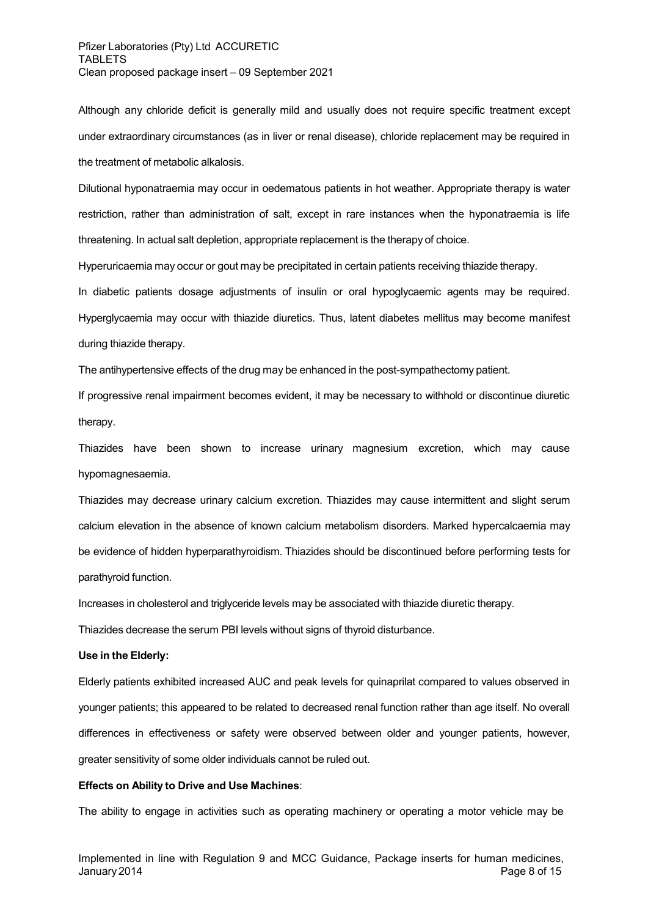Although any chloride deficit is generally mild and usually does not require specific treatment except under extraordinary circumstances (as in liver or renal disease), chloride replacement may be required in the treatment of metabolic alkalosis.

Dilutional hyponatraemia may occur in oedematous patients in hot weather. Appropriate therapy is water restriction, rather than administration of salt, except in rare instances when the hyponatraemia is life threatening. In actual salt depletion, appropriate replacement is the therapy of choice.

Hyperuricaemia may occur or gout may be precipitated in certain patients receiving thiazide therapy.

In diabetic patients dosage adjustments of insulin or oral hypoglycaemic agents may be required. Hyperglycaemia may occur with thiazide diuretics. Thus, latent diabetes mellitus may become manifest during thiazide therapy.

The antihypertensive effects of the drug may be enhanced in the post-sympathectomy patient.

If progressive renal impairment becomes evident, it may be necessary to withhold or discontinue diuretic therapy.

Thiazides have been shown to increase urinary magnesium excretion, which may cause hypomagnesaemia.

Thiazides may decrease urinary calcium excretion. Thiazides may cause intermittent and slight serum calcium elevation in the absence of known calcium metabolism disorders. Marked hypercalcaemia may be evidence of hidden hyperparathyroidism. Thiazides should be discontinued before performing tests for parathyroid function.

Increases in cholesterol and triglyceride levels may be associated with thiazide diuretic therapy.

Thiazides decrease the serum PBI levels without signs of thyroid disturbance.

### **Use in the Elderly:**

Elderly patients exhibited increased AUC and peak levels for quinaprilat compared to values observed in younger patients; this appeared to be related to decreased renal function rather than age itself. No overall differences in effectiveness or safety were observed between older and younger patients, however, greater sensitivity of some older individuals cannot be ruled out.

#### **Effects on Ability to Drive and Use Machines**:

The ability to engage in activities such as operating machinery or operating a motor vehicle may be

Implemented in line with Regulation 9 and MCC Guidance, Package inserts for human medicines, January 2014 Page 8 of 15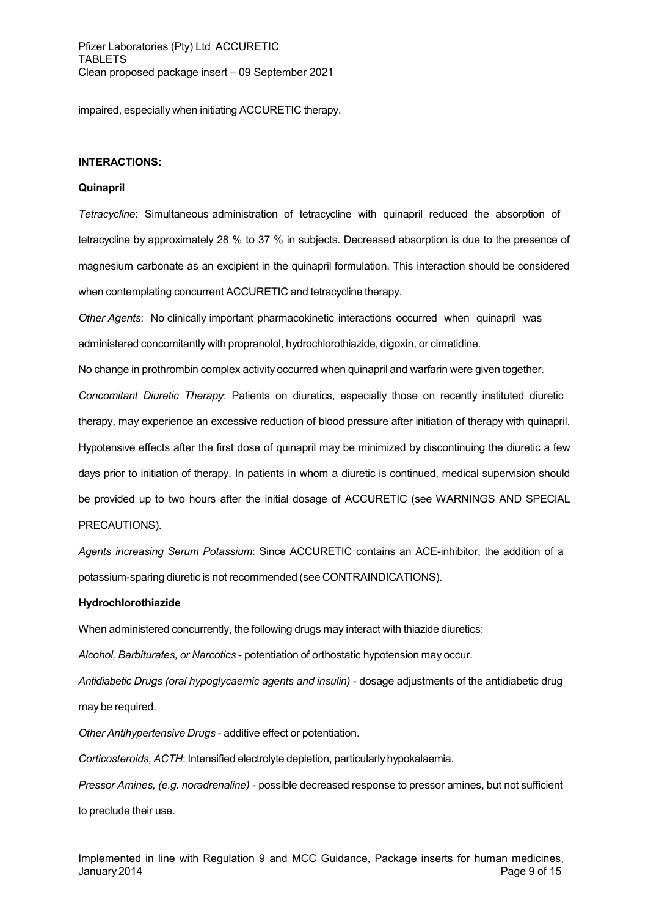impaired, especially when initiating ACCURETIC therapy.

### **INTERACTIONS:**

#### **Quinapril**

*Tetracycline*: Simultaneous administration of tetracycline with quinapril reduced the absorption of tetracycline by approximately 28 % to 37 % in subjects. Decreased absorption is due to the presence of magnesium carbonate as an excipient in the quinapril formulation. This interaction should be considered when contemplating concurrent ACCURETIC and tetracycline therapy.

*Other Agents*: No clinically important pharmacokinetic interactions occurred when quinapril was administered concomitantly with propranolol, hydrochlorothiazide, digoxin, or cimetidine.

No change in prothrombin complex activity occurred when quinapril and warfarin were given together.

*Concomitant Diuretic Therapy*: Patients on diuretics, especially those on recently instituted diuretic therapy, may experience an excessive reduction of blood pressure after initiation of therapy with quinapril. Hypotensive effects after the first dose of quinapril may be minimized by discontinuing the diuretic a few days prior to initiation of therapy. In patients in whom a diuretic is continued, medical supervision should be provided up to two hours after the initial dosage of ACCURETIC (see WARNINGS AND SPECIAL PRECAUTIONS).

*Agents increasing Serum Potassium*: Since ACCURETIC contains an ACE-inhibitor, the addition of a potassium-sparing diuretic is not recommended (see CONTRAINDICATIONS).

#### **Hydrochlorothiazide**

When administered concurrently, the following drugs may interact with thiazide diuretics:

*Alcohol, Barbiturates, or Narcotics* - potentiation of orthostatic hypotension may occur.

*Antidiabetic Drugs (oral hypoglycaemic agents and insulin)* - dosage adjustments of the antidiabetic drug may be required.

*Other Antihypertensive Drugs* - additive effect or potentiation.

*Corticosteroids, ACTH*: Intensified electrolyte depletion, particularly hypokalaemia.

*Pressor Amines, (e.g. noradrenaline)* - possible decreased response to pressor amines, but not sufficient to preclude their use.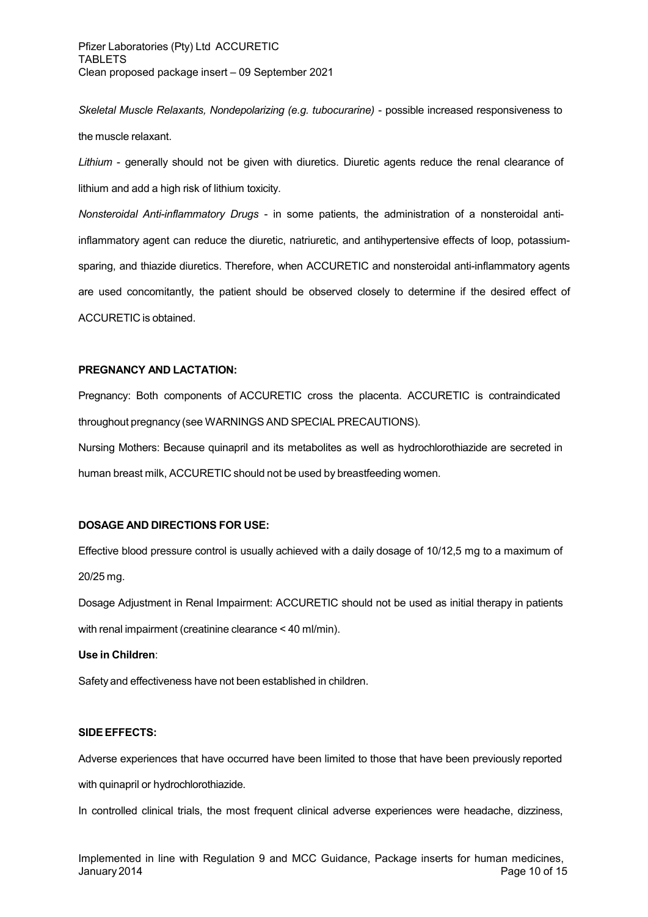*Skeletal Muscle Relaxants, Nondepolarizing (e.g. tubocurarine)* - possible increased responsiveness to the muscle relaxant.

*Lithium* - generally should not be given with diuretics. Diuretic agents reduce the renal clearance of lithium and add a high risk of lithium toxicity.

*Nonsteroidal Anti-inflammatory Drugs* - in some patients, the administration of a nonsteroidal antiinflammatory agent can reduce the diuretic, natriuretic, and antihypertensive effects of loop, potassiumsparing, and thiazide diuretics. Therefore, when ACCURETIC and nonsteroidal anti-inflammatory agents are used concomitantly, the patient should be observed closely to determine if the desired effect of ACCURETIC is obtained.

## **PREGNANCY AND LACTATION:**

Pregnancy: Both components of ACCURETIC cross the placenta. ACCURETIC is contraindicated throughout pregnancy (see WARNINGS AND SPECIAL PRECAUTIONS).

Nursing Mothers: Because quinapril and its metabolites as well as hydrochlorothiazide are secreted in human breast milk, ACCURETIC should not be used by breastfeeding women.

## **DOSAGE AND DIRECTIONS FOR USE:**

Effective blood pressure control is usually achieved with a daily dosage of 10/12,5 mg to a maximum of 20/25 mg.

Dosage Adjustment in Renal Impairment: ACCURETIC should not be used as initial therapy in patients with renal impairment (creatinine clearance < 40 ml/min).

## **Use in Children**:

Safety and effectiveness have not been established in children.

## **SIDEEFFECTS:**

Adverse experiences that have occurred have been limited to those that have been previously reported with quinapril or hydrochlorothiazide.

In controlled clinical trials, the most frequent clinical adverse experiences were headache, dizziness,

Implemented in line with Regulation 9 and MCC Guidance, Package inserts for human medicines, January 2014 **Page 10 of 15**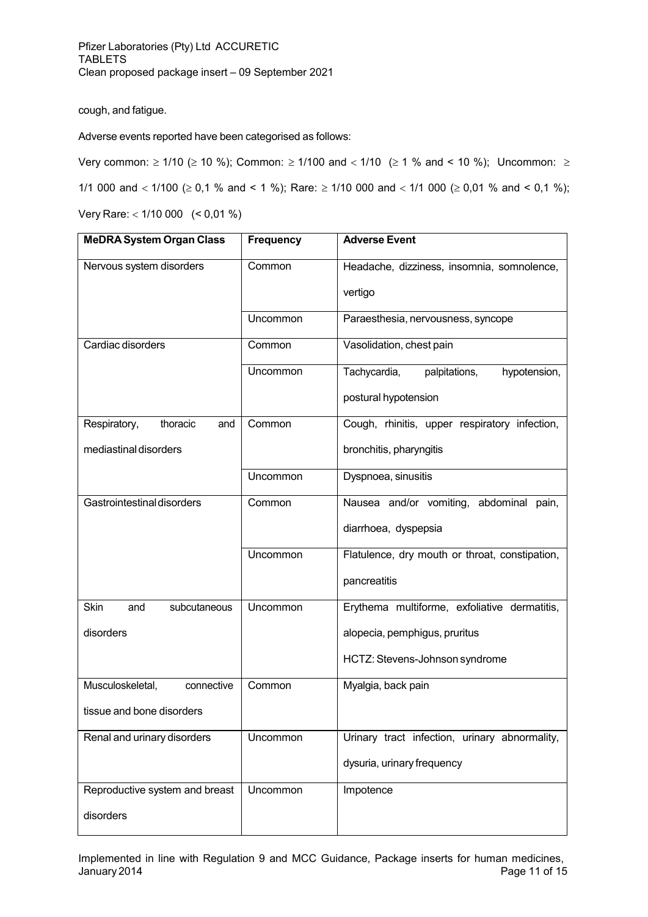cough, and fatigue.

Adverse events reported have been categorised as follows:

Very common:  $\geq 1/10$  ( $\geq 10$  %); Common:  $\geq 1/100$  and  $\lt 1/10$  ( $\geq 1$  % and  $\lt 10$  %); Uncommon:  $\geq$ 

1/1 000 and  $<$  1/100 ( $\geq$  0,1 % and  $<$  1 %); Rare:  $\geq$  1/10 000 and  $<$  1/1 000 ( $\geq$  0,01 % and  $<$  0,1 %);

Very Rare: 1/10 000 (< 0,01 %)

| <b>MeDRA System Organ Class</b>    | <b>Frequency</b> | <b>Adverse Event</b>                           |
|------------------------------------|------------------|------------------------------------------------|
| Nervous system disorders           | Common           | Headache, dizziness, insomnia, somnolence,     |
|                                    |                  | vertigo                                        |
|                                    | Uncommon         | Paraesthesia, nervousness, syncope             |
| Cardiac disorders                  | Common           | Vasolidation, chest pain                       |
|                                    | Uncommon         | Tachycardia,<br>palpitations,<br>hypotension,  |
|                                    |                  | postural hypotension                           |
| Respiratory,<br>thoracic<br>and    | Common           | Cough, rhinitis, upper respiratory infection,  |
| mediastinal disorders              |                  | bronchitis, pharyngitis                        |
|                                    | Uncommon         | Dyspnoea, sinusitis                            |
| Gastrointestinal disorders         | Common           | Nausea and/or vomiting, abdominal pain,        |
|                                    |                  | diarrhoea, dyspepsia                           |
|                                    | Uncommon         | Flatulence, dry mouth or throat, constipation, |
|                                    |                  | pancreatitis                                   |
| <b>Skin</b><br>subcutaneous<br>and | Uncommon         | Erythema multiforme, exfoliative dermatitis,   |
| disorders                          |                  | alopecia, pemphigus, pruritus                  |
|                                    |                  | HCTZ: Stevens-Johnson syndrome                 |
| Musculoskeletal,<br>connective     | Common           | Myalgia, back pain                             |
| tissue and bone disorders          |                  |                                                |
| Renal and urinary disorders        | Uncommon         | Urinary tract infection, urinary abnormality,  |
|                                    |                  | dysuria, urinary frequency                     |
| Reproductive system and breast     | Uncommon         | Impotence                                      |
| disorders                          |                  |                                                |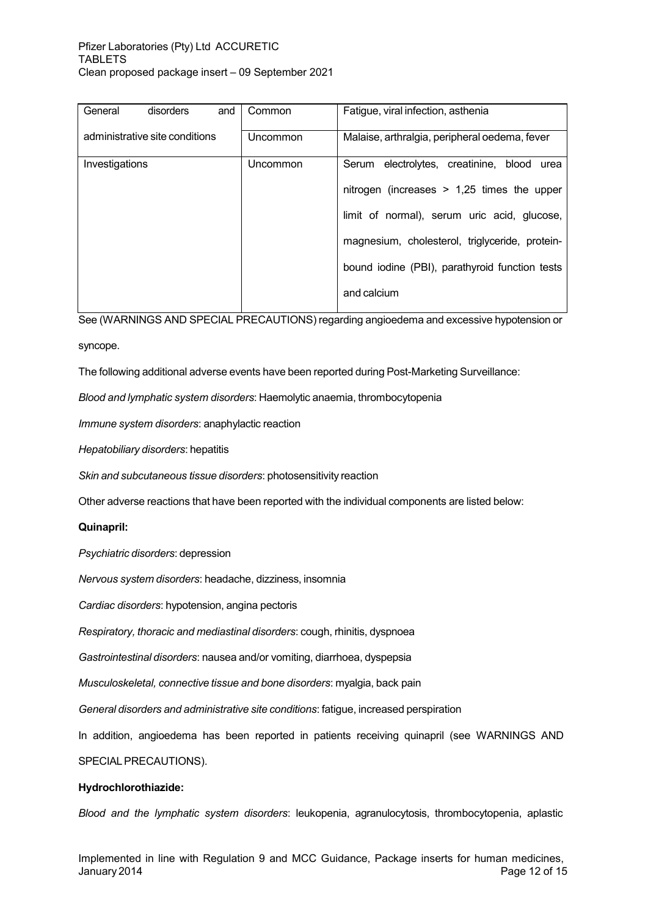| General<br>disorders<br>and    | Common   | Fatigue, viral infection, asthenia             |
|--------------------------------|----------|------------------------------------------------|
| administrative site conditions | Uncommon | Malaise, arthralgia, peripheral oedema, fever  |
| Investigations                 | Uncommon | Serum electrolytes, creatinine, blood urea     |
|                                |          | nitrogen (increases $> 1,25$ times the upper   |
|                                |          | limit of normal), serum uric acid, glucose,    |
|                                |          | magnesium, cholesterol, triglyceride, protein- |
|                                |          | bound iodine (PBI), parathyroid function tests |
|                                |          | and calcium                                    |

See (WARNINGS AND SPECIAL PRECAUTIONS) regarding angioedema and excessive hypotension or

syncope.

The following additional adverse events have been reported during Post-Marketing Surveillance:

*Blood and lymphatic system disorders*: Haemolytic anaemia, thrombocytopenia

*Immune system disorders*: anaphylactic reaction

*Hepatobiliary disorders*: hepatitis

*Skin and subcutaneous tissue disorders*: photosensitivity reaction

Other adverse reactions that have been reported with the individual components are listed below:

## **Quinapril:**

*Psychiatric disorders*: depression

*Nervous system disorders*: headache, dizziness, insomnia

*Cardiac disorders*: hypotension, angina pectoris

*Respiratory, thoracic and mediastinal disorders*: cough, rhinitis, dyspnoea

*Gastrointestinal disorders*: nausea and/or vomiting, diarrhoea, dyspepsia

*Musculoskeletal, connective tissue and bone disorders*: myalgia, back pain

*General disorders and administrative site conditions*: fatigue, increased perspiration

In addition, angioedema has been reported in patients receiving quinapril (see WARNINGS AND

SPECIAL PRECAUTIONS).

#### **Hydrochlorothiazide:**

*Blood and the lymphatic system disorders*: leukopenia, agranulocytosis, thrombocytopenia, aplastic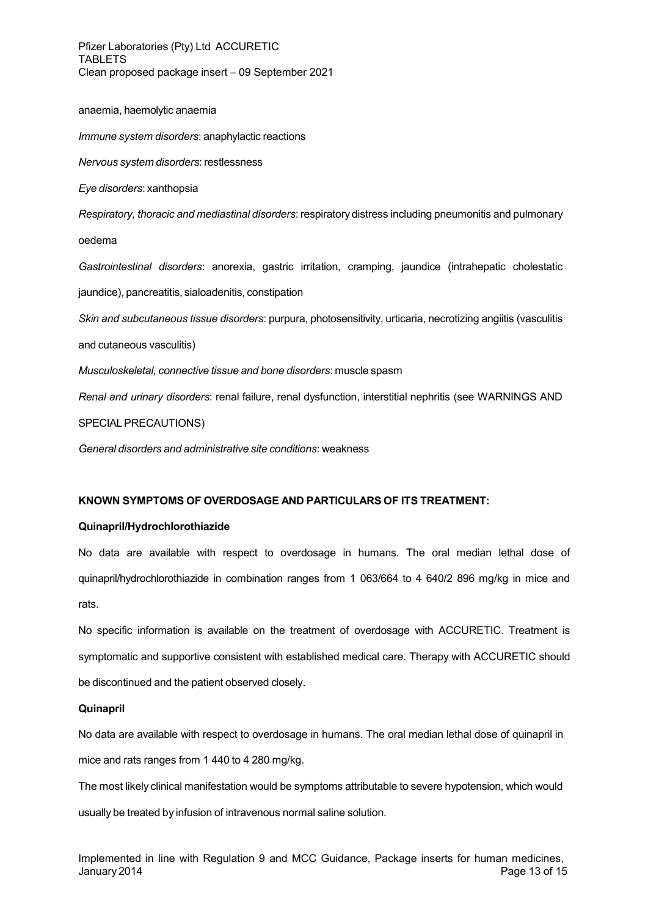Pfizer Laboratories (Pty) Ltd ACCURETIC TABLETS Clean proposed package insert – 09 September 2021

anaemia, haemolytic anaemia

*Immune system disorders*: anaphylactic reactions

*Nervous system disorders*: restlessness

*Eye disorders*: xanthopsia

*Respiratory, thoracic and mediastinal disorders*: respiratory distress including pneumonitis and pulmonary oedema

*Gastrointestinal disorders*: anorexia, gastric irritation, cramping, jaundice (intrahepatic cholestatic jaundice), pancreatitis, sialoadenitis, constipation

*Skin and subcutaneous tissue disorders*: purpura, photosensitivity, urticaria, necrotizing angiitis (vasculitis

and cutaneous vasculitis)

*Musculoskeletal, connective tissue and bone disorders*: muscle spasm

*Renal and urinary disorders*: renal failure, renal dysfunction, interstitial nephritis (see WARNINGS AND

SPECIALPRECAUTIONS)

*General disorders and administrative site conditions*: weakness

## **KNOWN SYMPTOMS OF OVERDOSAGE AND PARTICULARS OF ITS TREATMENT:**

## **Quinapril/Hydrochlorothiazide**

No data are available with respect to overdosage in humans. The oral median lethal dose of quinapril/hydrochlorothiazide in combination ranges from 1 063/664 to 4 640/2 896 mg/kg in mice and rats.

No specific information is available on the treatment of overdosage with ACCURETIC. Treatment is symptomatic and supportive consistent with established medical care. Therapy with ACCURETIC should be discontinued and the patient observed closely.

## **Quinapril**

No data are available with respect to overdosage in humans. The oral median lethal dose of quinapril in mice and rats ranges from 1 440 to 4 280 mg/kg.

The most likely clinical manifestation would be symptoms attributable to severe hypotension, which would usually be treated by infusion of intravenous normal saline solution.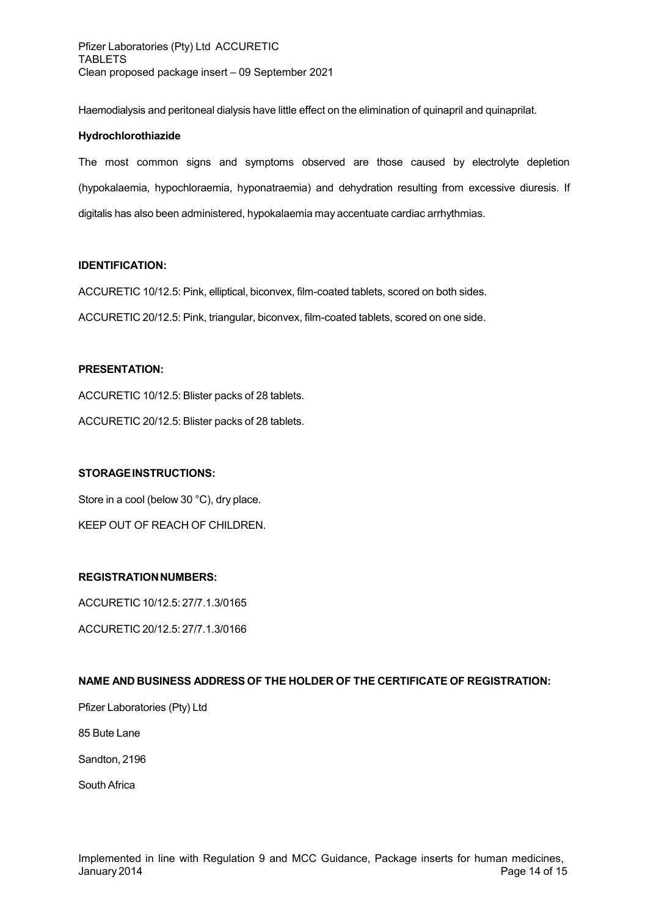Haemodialysis and peritoneal dialysis have little effect on the elimination of quinapril and quinaprilat.

## **Hydrochlorothiazide**

The most common signs and symptoms observed are those caused by electrolyte depletion (hypokalaemia, hypochloraemia, hyponatraemia) and dehydration resulting from excessive diuresis. If digitalis has also been administered, hypokalaemia may accentuate cardiac arrhythmias.

## **IDENTIFICATION:**

ACCURETIC 10/12.5: Pink, elliptical, biconvex, film-coated tablets, scored on both sides.

ACCURETIC 20/12.5: Pink, triangular, biconvex, film-coated tablets, scored on one side.

## **PRESENTATION:**

ACCURETIC 10/12.5: Blister packs of 28 tablets.

ACCURETIC 20/12.5: Blister packs of 28 tablets.

## **STORAGEINSTRUCTIONS:**

Store in a cool (below 30 °C), dry place. KEEP OUT OF REACH OF CHILDREN.

## **REGISTRATIONNUMBERS:**

ACCURETIC 10/12.5: 27/7.1.3/0165

ACCURETIC 20/12.5: 27/7.1.3/0166

## **NAME AND BUSINESS ADDRESS OF THE HOLDER OF THE CERTIFICATE OF REGISTRATION:**

Pfizer Laboratories (Pty) Ltd

85 Bute Lane

Sandton, 2196

South Africa